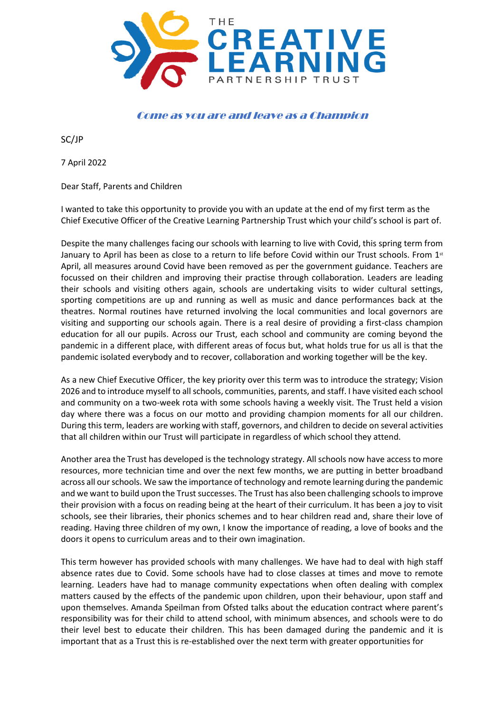

## Come as you are and leave as a Champion

SC/JP

7 April 2022

Dear Staff, Parents and Children

I wanted to take this opportunity to provide you with an update at the end of my first term as the Chief Executive Officer of the Creative Learning Partnership Trust which your child's school is part of.

Despite the many challenges facing our schools with learning to live with Covid, this spring term from January to April has been as close to a return to life before Covid within our Trust schools. From 1st April, all measures around Covid have been removed as per the government guidance. Teachers are focussed on their children and improving their practise through collaboration. Leaders are leading their schools and visiting others again, schools are undertaking visits to wider cultural settings, sporting competitions are up and running as well as music and dance performances back at the theatres. Normal routines have returned involving the local communities and local governors are visiting and supporting our schools again. There is a real desire of providing a first-class champion education for all our pupils. Across our Trust, each school and community are coming beyond the pandemic in a different place, with different areas of focus but, what holds true for us all is that the pandemic isolated everybody and to recover, collaboration and working together will be the key.

As a new Chief Executive Officer, the key priority over this term was to introduce the strategy; Vision 2026 and to introduce myself to all schools, communities, parents, and staff. I have visited each school and community on a two-week rota with some schools having a weekly visit. The Trust held a vision day where there was a focus on our motto and providing champion moments for all our children. During this term, leaders are working with staff, governors, and children to decide on several activities that all children within our Trust will participate in regardless of which school they attend.

Another area the Trust has developed is the technology strategy. All schools now have access to more resources, more technician time and over the next few months, we are putting in better broadband across all our schools. We saw the importance of technology and remote learning during the pandemic and we want to build upon the Trust successes. The Trust has also been challenging schools to improve their provision with a focus on reading being at the heart of their curriculum. It has been a joy to visit schools, see their libraries, their phonics schemes and to hear children read and, share their love of reading. Having three children of my own, I know the importance of reading, a love of books and the doors it opens to curriculum areas and to their own imagination.

This term however has provided schools with many challenges. We have had to deal with high staff absence rates due to Covid. Some schools have had to close classes at times and move to remote learning. Leaders have had to manage community expectations when often dealing with complex matters caused by the effects of the pandemic upon children, upon their behaviour, upon staff and upon themselves. Amanda Speilman from Ofsted talks about the education contract where parent's responsibility was for their child to attend school, with minimum absences, and schools were to do their level best to educate their children. This has been damaged during the pandemic and it is important that as a Trust this is re-established over the next term with greater opportunities for